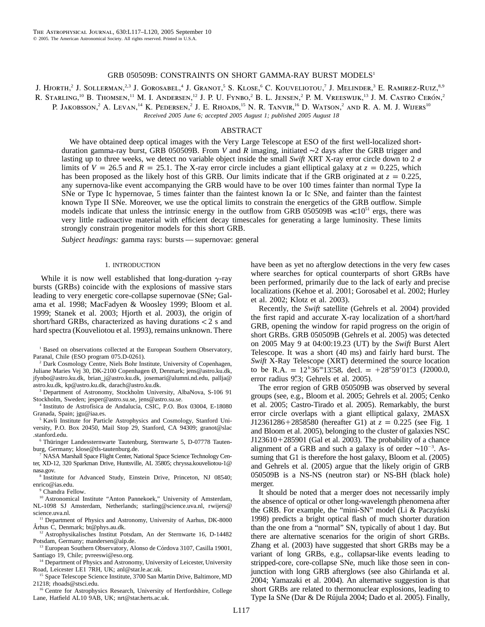# GRB 050509B: CONSTRAINTS ON SHORT GAMMA-RAY BURST MODELS<sup>1</sup>

J. Hjorth,<sup>2</sup> J. Sollerman,<sup>2,3</sup> J. Gorosabel,<sup>4</sup> J. Granot,<sup>5</sup> S. Klose,<sup>6</sup> C. Kouveliotou,<sup>7</sup> J. Melinder,<sup>3</sup> E. Ramirez-Ruiz,<sup>8,9</sup> R. STARLING,<sup>10</sup> B. THOMSEN,<sup>11</sup> M. I. ANDERSEN,<sup>12</sup> J. P. U. FYNBO,<sup>2</sup> B. L. JENSEN,<sup>2</sup> P. M. VREESWIJK,<sup>13</sup> J. M. CASTRO CERÓN,<sup>2</sup> P. JAKOBSSON,<sup>2</sup> A. LEVAN,<sup>14</sup> K. PEDERSEN,<sup>2</sup> J. E. RHOADS,<sup>15</sup> N. R. TANVIR,<sup>16</sup> D. WATSON,<sup>2</sup> AND R. A. M. J. WIJERS<sup>10</sup>

*Received 2005 June 6; accepted 2005 August 1; published 2005 August 18*

# ABSTRACT

We have obtained deep optical images with the Very Large Telescope at ESO of the first well-localized shortduration gamma-ray burst, GRB 050509B. From *V* and *R* imaging, initiated ∼2 days after the GRB trigger and lasting up to three weeks, we detect no variable object inside the small *Swift* XRT X-ray error circle down to 2  $\sigma$ limits of  $V = 26.5$  and  $R = 25.1$ . The X-ray error circle includes a giant elliptical galaxy at  $z = 0.225$ , which has been proposed as the likely host of this GRB. Our limits indicate that if the GRB originated at  $z = 0.225$ , any supernova-like event accompanying the GRB would have to be over 100 times fainter than normal Type Ia SNe or Type Ic hypernovae, 5 times fainter than the faintest known Ia or Ic SNe, and fainter than the faintest known Type II SNe. Moreover, we use the optical limits to constrain the energetics of the GRB outflow. Simple models indicate that unless the intrinsic energy in the outflow from GRB 050509B was  $\ll 10^{51}$  ergs, there was very little radioactive material with efficient decay timescales for generating a large luminosity. These limits strongly constrain progenitor models for this short GRB.

*Subject headings:* gamma rays: bursts — supernovae: general

## 1. INTRODUCTION

While it is now well established that long-duration  $\gamma$ -ray bursts (GRBs) coincide with the explosions of massive stars leading to very energetic core-collapse supernovae (SNe; Galama et al. 1998; MacFadyen & Woosley 1999; Bloom et al. 1999; Stanek et al. 2003; Hjorth et al. 2003), the origin of short/hard GRBs, characterized as having durations  $<$  2 s and hard spectra (Kouveliotou et al. 1993), remains unknown. There

<sup>1</sup> Based on observations collected at the European Southern Observatory, Paranal, Chile (ESO program 075.D-0261).

<sup>2</sup> Dark Cosmology Centre, Niels Bohr Institute, University of Copenhagen, Juliane Maries Vej 30, DK-2100 Copenhagen Ø, Denmark; jens@astro.ku.dk, jfynbo@astro.ku.dk, brian\_j@astro.ku.dk, josemari@alumni.nd.edu, pallja@ astro.ku.dk, kp@astro.ku.dk, darach@astro.ku.dk.

<sup>3</sup> Department of Astronomy, Stockholm University, AlbaNova, S-106 91 Stockholm, Sweden; jesper@astro.su.se, jens@astro.su.se.

<sup>4</sup> Instituto de Astrofísica de Andalucía, CSIC, P.O. Box 03004, E-18080 Granada, Spain; jgu@iaa.es.

<sup>5</sup> Kavli Institute for Particle Astrophysics and Cosmology, Stanford University, P.O. Box 20450, Mail Stop 29, Stanford, CA 94309; granot@slac .stanford.edu.

 $6$  Thüringer Landessternwarte Tautenburg, Sternwarte 5, D-07778 Tautenburg, Germany; klose@tls-tautenburg.de.

<sup>7</sup> NASA Marshall Space Flight Center, National Space Science Technology Center, XD-12, 320 Sparkman Drive, Huntsville, AL 35805; chryssa.kouveliotou-1@ nasa.gov.

<sup>8</sup> Institute for Advanced Study, Einstein Drive, Princeton, NJ 08540; enrico@ias.edu.

Chandra Fellow.

<sup>10</sup> Astronomical Institute "Anton Pannekoek," University of Amsterdam, NL-1098 SJ Amsterdam, Netherlands; starling@science.uva.nl, rwijers@ science.uva.nl.

<sup>11</sup> Department of Physics and Astronomy, University of Aarhus, DK-8000 Århus  $\dot{C}$ , Denmark; bt@phys.au.dk.

<sup>12</sup> Astrophysikalisches Institut Potsdam, An der Sternwarte 16, D-14482 Potsdam, Germany; mandersen@aip.de.

<sup>13</sup> European Southern Observatory, Alonso de Córdova 3107, Casilla 19001, Santiago 19, Chile; pvreeswi@eso.org.

<sup>14</sup> Department of Physics and Astronomy, University of Leicester, University Road, Leicester LE1 7RH, UK; anl@star.le.ac.uk.

<sup>15</sup> Space Telescope Science Institute, 3700 San Martin Drive, Baltimore, MD 21218; rhoads@stsci.edu.

<sup>16</sup> Centre for Astrophysics Research, University of Hertfordshire, College Lane, Hatfield AL10 9AB, UK; nrt@star.herts.ac.uk.

have been as yet no afterglow detections in the very few cases where searches for optical counterparts of short GRBs have been performed, primarily due to the lack of early and precise localizations (Kehoe et al. 2001; Gorosabel et al. 2002; Hurley et al. 2002; Klotz et al. 2003).

Recently, the *Swift* satellite (Gehrels et al. 2004) provided the first rapid and accurate X-ray localization of a short/hard GRB, opening the window for rapid progress on the origin of short GRBs. GRB 050509B (Gehrels et al. 2005) was detected on 2005 May 9 at 04:00:19.23 (UT) by the *Swift* Burst Alert Telescope. It was a short (40 ms) and fairly hard burst. The *Swift* X-Ray Telescope (XRT) determined the source location to be R.A. =  $12^{\text{h}}36^{\text{m}}13.58$ , decl. =  $+28^{\circ}59'01''3$  (J2000.0, error radius 9"3; Gehrels et al. 2005).

The error region of GRB 050509B was observed by several groups (see, e.g., Bloom et al. 2005; Gehrels et al. 2005; Cenko et al. 2005; Castro-Tirado et al. 2005). Remarkably, the burst error circle overlaps with a giant elliptical galaxy, 2MASX J12361286+2858580 (hereafter G1) at  $z = 0.225$  (see Fig. 1 and Bloom et al. 2005), belonging to the cluster of galaxies NSC  $J123610+285901$  (Gal et al. 2003). The probability of a chance alignment of a GRB and such a galaxy is of order ∼10<sup>-3</sup>. Assuming that G1 is therefore the host galaxy, Bloom et al. (2005) and Gehrels et al. (2005) argue that the likely origin of GRB 050509B is a NS-NS (neutron star) or NS-BH (black hole) merger.

It should be noted that a merger does not necessarily imply the absence of optical or other long-wavelength phenomena after the GRB. For example, the "mini-SN" model (Li  $&$  Paczyński 1998) predicts a bright optical flash of much shorter duration than the one from a "normal" SN, typically of about 1 day. But there are alternative scenarios for the origin of short GRBs. Zhang et al. (2003) have suggested that short GRBs may be a variant of long GRBs, e.g., collapsar-like events leading to stripped-core, core-collapse SNe, much like those seen in conjunction with long GRB afterglows (see also Ghirlanda et al. 2004; Yamazaki et al. 2004). An alternative suggestion is that short GRBs are related to thermonuclear explosions, leading to Type Ia SNe (Dar & De Rújula 2004; Dado et al. 2005). Finally,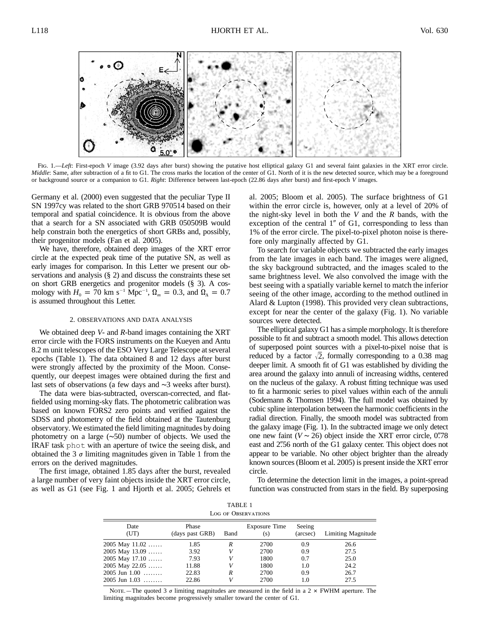

Fig. 1.—*Left*: First-epoch *V* image (3.92 days after burst) showing the putative host elliptical galaxy G1 and several faint galaxies in the XRT error circle. *Middle*: Same, after subtraction of a fit to G1. The cross marks the location of the center of G1. North of it is the new detected source, which may be a foreground or background source or a companion to G1. *Right*: Difference between last-epoch (22.86 days after burst) and first-epoch *V* images.

Germany et al. (2000) even suggested that the peculiar Type II SN 1997cy was related to the short GRB 970514 based on their temporal and spatial coincidence. It is obvious from the above that a search for a SN associated with GRB 050509B would help constrain both the energetics of short GRBs and, possibly, their progenitor models (Fan et al. 2005).

We have, therefore, obtained deep images of the XRT error circle at the expected peak time of the putative SN, as well as early images for comparison. In this Letter we present our observations and analysis (§ 2) and discuss the constraints these set on short GRB energetics and progenitor models (§ 3). A cosmology with  $H_0 = 70 \text{ km s}^{-1} \text{ Mpc}^{-1}$ ,  $\Omega_m = 0.3$ , and  $\Omega_{\Lambda} = 0.7$ is assumed throughout this Letter.

## 2. OBSERVATIONS AND DATA ANALYSIS

We obtained deep *V*- and *R*-band images containing the XRT error circle with the FORS instruments on the Kueyen and Antu 8.2 m unit telescopes of the ESO Very Large Telescope at several epochs (Table 1). The data obtained 8 and 12 days after burst were strongly affected by the proximity of the Moon. Consequently, our deepest images were obtained during the first and last sets of observations (a few days and ∼3 weeks after burst).

The data were bias-subtracted, overscan-corrected, and flatfielded using morning-sky flats. The photometric calibration was based on known FORS2 zero points and verified against the SDSS and photometry of the field obtained at the Tautenburg observatory. We estimated the field limiting magnitudes by doing photometry on a large (∼50) number of objects. We used the IRAF task phot with an aperture of twice the seeing disk, and obtained the 3  $\sigma$  limiting magnitudes given in Table 1 from the errors on the derived magnitudes.

The first image, obtained 1.85 days after the burst, revealed a large number of very faint objects inside the XRT error circle, as well as G1 (see Fig. 1 and Hjorth et al. 2005; Gehrels et al. 2005; Bloom et al. 2005). The surface brightness of G1 within the error circle is, however, only at a level of 20% of the night-sky level in both the *V* and the *R* bands, with the exception of the central  $1''$  of G1, corresponding to less than 1% of the error circle. The pixel-to-pixel photon noise is therefore only marginally affected by G1.

To search for variable objects we subtracted the early images from the late images in each band. The images were aligned, the sky background subtracted, and the images scaled to the same brightness level. We also convolved the image with the best seeing with a spatially variable kernel to match the inferior seeing of the other image, according to the method outlined in Alard & Lupton (1998). This provided very clean subtractions, except for near the center of the galaxy (Fig. 1). No variable sources were detected.

The elliptical galaxy G1 has a simple morphology. It is therefore possible to fit and subtract a smooth model. This allows detection of superposed point sources with a pixel-to-pixel noise that is reduced by a factor  $\sqrt{2}$ , formally corresponding to a 0.38 mag deeper limit. A smooth fit of G1 was established by dividing the area around the galaxy into annuli of increasing widths, centered on the nucleus of the galaxy. A robust fitting technique was used to fit a harmonic series to pixel values within each of the annuli (Sodemann & Thomsen 1994). The full model was obtained by cubic spline interpolation between the harmonic coefficients in the radial direction. Finally, the smooth model was subtracted from the galaxy image (Fig. 1). In the subtracted image we only detect one new faint  $(V \sim 26)$  object inside the XRT error circle, 0".78 east and 2".56 north of the G1 galaxy center. This object does not appear to be variable. No other object brighter than the already known sources (Bloom et al. 2005) is present inside the XRT error circle.

To determine the detection limit in the images, a point-spread function was constructed from stars in the field. By superposing

| TABLE 1<br><b>LOG OF OBSERVATIONS</b> |                          |      |                             |                    |                    |
|---------------------------------------|--------------------------|------|-----------------------------|--------------------|--------------------|
| Date<br>(UT)                          | Phase<br>(days past GRB) | Band | <b>Exposure Time</b><br>(s) | Seeing<br>(arcsec) | Limiting Magnitude |
| 2005 May 11.02                        | 1.85                     | R    | 2700                        | 0.9                | 26.6               |
| 2005 May 13.09                        | 3.92                     |      | 2700                        | 0.9                | 27.5               |
| 2005 May 17.10                        | 7.93                     |      | 1800                        | 0.7                | 25.0               |
| 2005 May 22.05                        | 11.88                    |      | 1800                        | 1.0                | 24.2               |
| $2005$ Jun $1.00$                     | 22.83                    | R    | 2700                        | 0.9                | 26.7               |
| $2005$ Jun $1.03$                     | 22.86                    |      | 2700                        | 1.0                | 27.5               |
|                                       |                          |      |                             |                    |                    |

NOTE.—The quoted 3  $\sigma$  limiting magnitudes are measured in the field in a 2  $\times$  FWHM aperture. The limiting magnitudes become progressively smaller toward the center of G1.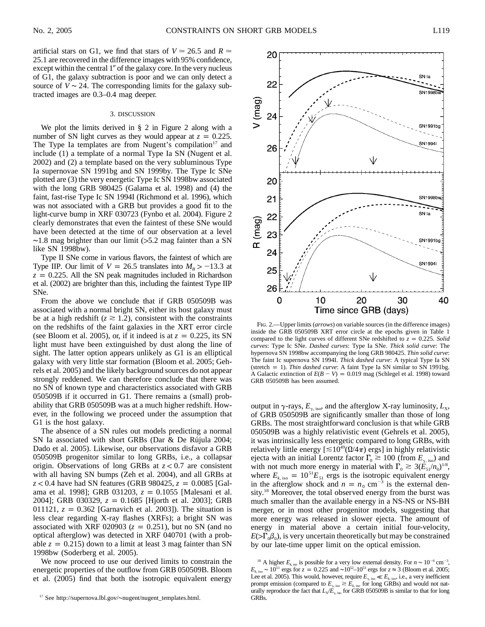artificial stars on G1, we find that stars of  $V \approx 26.5$  and  $R \approx$ 25.1 are recovered in the difference images with 95% confidence, except within the central  $1''$  of the galaxy core. In the very nucleus of G1, the galaxy subtraction is poor and we can only detect a source of  $V \sim 24$ . The corresponding limits for the galaxy subtracted images are 0.3–0.4 mag deeper.

## 3. DISCUSSION

We plot the limits derived in § 2 in Figure 2 along with a number of SN light curves as they would appear at  $z = 0.225$ . The Type Ia templates are from Nugent's compilation<sup>17</sup> and include (1) a template of a normal Type Ia SN (Nugent et al. 2002) and (2) a template based on the very subluminous Type Ia supernovae SN 1991bg and SN 1999by. The Type Ic SNe plotted are (3) the very energetic Type Ic SN 1998bw associated with the long GRB 980425 (Galama et al. 1998) and (4) the faint, fast-rise Type Ic SN 1994I (Richmond et al. 1996), which was not associated with a GRB but provides a good fit to the light-curve bump in XRF 030723 (Fynbo et al. 2004). Figure 2 clearly demonstrates that even the faintest of these SNe would have been detected at the time of our observation at a level  $~\sim$ 1.8 mag brighter than our limit (>5.2 mag fainter than a SN like SN 1998bw).

Type II SNe come in various flavors, the faintest of which are Type IIP. Our limit of  $V = 26.5$  translates into  $M_B > -13.3$  at  $z = 0.225$ . All the SN peak magnitudes included in Richardson et al. (2002) are brighter than this, including the faintest Type IIP SNe.

From the above we conclude that if GRB 050509B was associated with a normal bright SN, either its host galaxy must be at a high redshift ( $z \ge 1.2$ ), consistent with the constraints on the redshifts of the faint galaxies in the XRT error circle (see Bloom et al. 2005), or, if it indeed is at  $z = 0.225$ , its SN light must have been extinguished by dust along the line of sight. The latter option appears unlikely as G1 is an elliptical galaxy with very little star formation (Bloom et al. 2005; Gehrels et al. 2005) and the likely background sources do not appear strongly reddened. We can therefore conclude that there was no SN of known type and characteristics associated with GRB 050509B if it occurred in G1. There remains a (small) probability that GRB 050509B was at a much higher redshift. However, in the following we proceed under the assumption that G1 is the host galaxy.

The absence of a SN rules out models predicting a normal SN Ia associated with short GRBs (Dar & De Rújula 2004; Dado et al. 2005). Likewise, our observations disfavor a GRB 050509B progenitor similar to long GRBs, i.e., a collapsar origin. Observations of long GRBs at  $z < 0.7$  are consistent with all having SN bumps (Zeh et al. 2004), and all GRBs at *z* < 0.4 have had SN features (GRB 980425, *z* = 0.0085 [Galama et al. 1998]; GRB 031203,  $z = 0.1055$  [Malesani et al. 2004]; GRB 030329,  $z = 0.1685$  [Hjorth et al. 2003]; GRB 011121,  $z = 0.362$  [Garnavich et al. 2003]). The situation is less clear regarding X-ray flashes (XRFs); a bright SN was associated with XRF 020903 ( $z = 0.251$ ), but no SN (and no optical afterglow) was detected in XRF 040701 (with a probable  $z = 0.215$  down to a limit at least 3 mag fainter than SN 1998bw (Soderberg et al. 2005).

We now proceed to use our derived limits to constrain the energetic properties of the outflow from GRB 050509B. Bloom et al. (2005) find that both the isotropic equivalent energy



Fig. 2.—Upper limits (*arrows*) on variable sources (in the difference images) inside the GRB 050509B XRT error circle at the epochs given in Table 1 compared to the light curves of different SNe redshifted to  $z = 0.225$ *. Solid curves*: Type Ic SNe. *Dashed curves*: Type Ia SNe. *Thick solid curve*: The hypernova SN 1998bw accompanying the long GRB 980425. *Thin solid curve*: The faint Ic supernova SN 1994I. *Thick dashed curve*: A typical Type Ia SN (stretch p 1). *Thin dashed curve*: A faint Type Ia SN similar to SN 1991bg. A Galactic extinction of  $E(B - V) = 0.019$  mag (Schlegel et al. 1998) toward GRB 050509B has been assumed.

output in  $\gamma$ -rays,  $E_{\gamma}$  iso, and the afterglow X-ray luminosity,  $L_{\rm X}$ , of GRB 050509B are significantly smaller than those of long GRBs. The most straightforward conclusion is that while GRB 050509B was a highly relativistic event (Gehrels et al. 2005), it was intrinsically less energetic compared to long GRBs, with relatively little energy  $[\leq 10^{49}(\Omega/4\pi)$  ergs] in highly relativistic ejecta with an initial Lorentz factor  $\Gamma_0 \gtrsim 100$  (from  $E_{\gamma, \text{iso}}$ ) and with not much more energy in material with  $\Gamma_0 \geq 3(E_{51}/n_0)^{1/8}$ , where  $E_{k, iso} = 10^{51} E_{51}$  ergs is the isotropic equivalent energy in the afterglow shock and  $n = n_0$  cm<sup>-3</sup> is the external density.<sup>18</sup> Moreover, the total observed energy from the burst was much smaller than the available energy in a NS-NS or NS-BH merger, or in most other progenitor models, suggesting that more energy was released in slower ejecta. The amount of energy in material above a certain initial four-velocity,  $E(\sum_{0} \beta_{0})$ , is very uncertain theoretically but may be constrained by our late-time upper limit on the optical emission.

<sup>17</sup> See http://supernova.lbl.gov/∼nugent/nugent\_templates.html.

<sup>&</sup>lt;sup>18</sup> A higher  $E_{k, \text{iso}}$  is possible for a very low external density. For  $n \sim 10^{-6} \text{ cm}^{-3}$ ,  $E_{k, iso}$  ~ 10<sup>51</sup> ergs for  $z = 0.225$  and ~10<sup>52</sup>–10<sup>53</sup> ergs for  $z \approx 3$  (Bloom et al. 2005; Lee et al. 2005). This would, however, require  $E_{\gamma, \text{iso}} \ll E_{k, \text{iso}}$ , i.e., a very inefficient prompt emission (compared to  $E_{\gamma,iso} \gtrsim E_{k,iso}$  for long GRBs) and would not naturally reproduce the fact that  $L_X/E_{\gamma, \text{iso}}$  for GRB 050509B is similar to that for long GRBs.